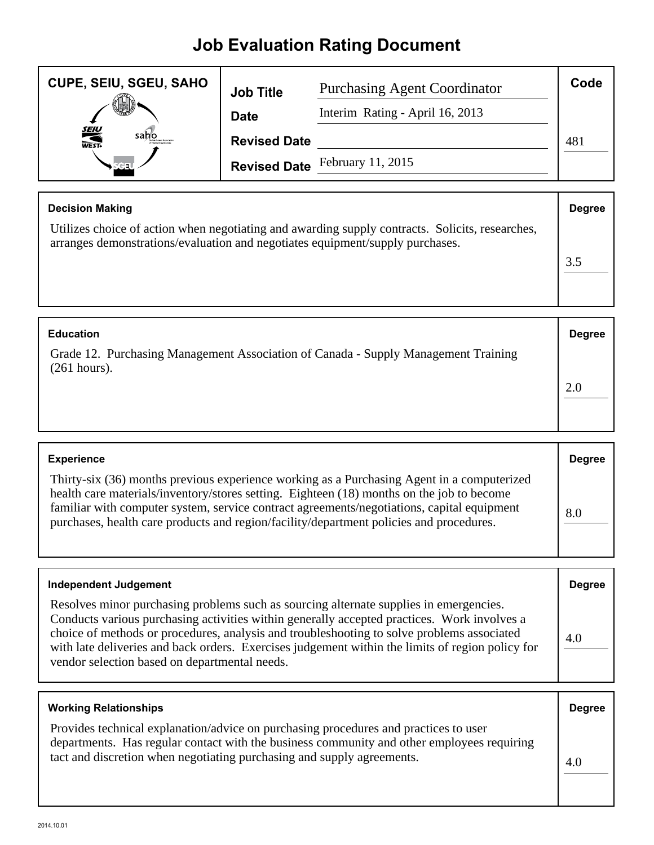## **Job Evaluation Rating Document**

| <b>CUPE, SEIU, SGEU, SAHO</b> | <b>Job Title</b>    | <b>Purchasing Agent Coordinator</b> | Code |
|-------------------------------|---------------------|-------------------------------------|------|
|                               | <b>Date</b>         | Interim Rating - April 16, 2013     |      |
| <b>SEIU</b><br>WEST-<br>saho  | <b>Revised Date</b> |                                     | 481  |
|                               |                     | Revised Date February 11, 2015      |      |

| <b>Decision Making</b>                                                                                                                                                           | <b>Degree</b> |
|----------------------------------------------------------------------------------------------------------------------------------------------------------------------------------|---------------|
| Utilizes choice of action when negotiating and awarding supply contracts. Solicits, researches,<br>arranges demonstrations/evaluation and negotiates equipment/supply purchases. |               |
|                                                                                                                                                                                  |               |
|                                                                                                                                                                                  |               |

| <b>Education</b>                                                                                     | <b>Degree</b> |
|------------------------------------------------------------------------------------------------------|---------------|
| Grade 12. Purchasing Management Association of Canada - Supply Management Training<br>$(261$ hours). |               |
|                                                                                                      | 2.0           |
|                                                                                                      |               |

| <b>Experience</b>                                                                                                                                                                                                                                                                                                                                                                | <b>Degree</b> |
|----------------------------------------------------------------------------------------------------------------------------------------------------------------------------------------------------------------------------------------------------------------------------------------------------------------------------------------------------------------------------------|---------------|
| Thirty-six (36) months previous experience working as a Purchasing Agent in a computerized<br>health care materials/inventory/stores setting. Eighteen (18) months on the job to become<br>familiar with computer system, service contract agreements/negotiations, capital equipment<br>purchases, health care products and region/facility/department policies and procedures. | 8.0           |

| <b>Independent Judgement</b>                                                                                                                                                                                                                                                                                                                                                                                                             | <b>Degree</b> |
|------------------------------------------------------------------------------------------------------------------------------------------------------------------------------------------------------------------------------------------------------------------------------------------------------------------------------------------------------------------------------------------------------------------------------------------|---------------|
| Resolves minor purchasing problems such as sourcing alternate supplies in emergencies.<br>Conducts various purchasing activities within generally accepted practices. Work involves a<br>choice of methods or procedures, analysis and troubleshooting to solve problems associated<br>with late deliveries and back orders. Exercises judgement within the limits of region policy for<br>vendor selection based on departmental needs. | 4.0           |

| <b>Working Relationships</b>                                                                                                                                                                                                                                 | <b>Degree</b> |
|--------------------------------------------------------------------------------------------------------------------------------------------------------------------------------------------------------------------------------------------------------------|---------------|
| Provides technical explanation/advice on purchasing procedures and practices to user<br>departments. Has regular contact with the business community and other employees requiring<br>tact and discretion when negotiating purchasing and supply agreements. | 4.0           |